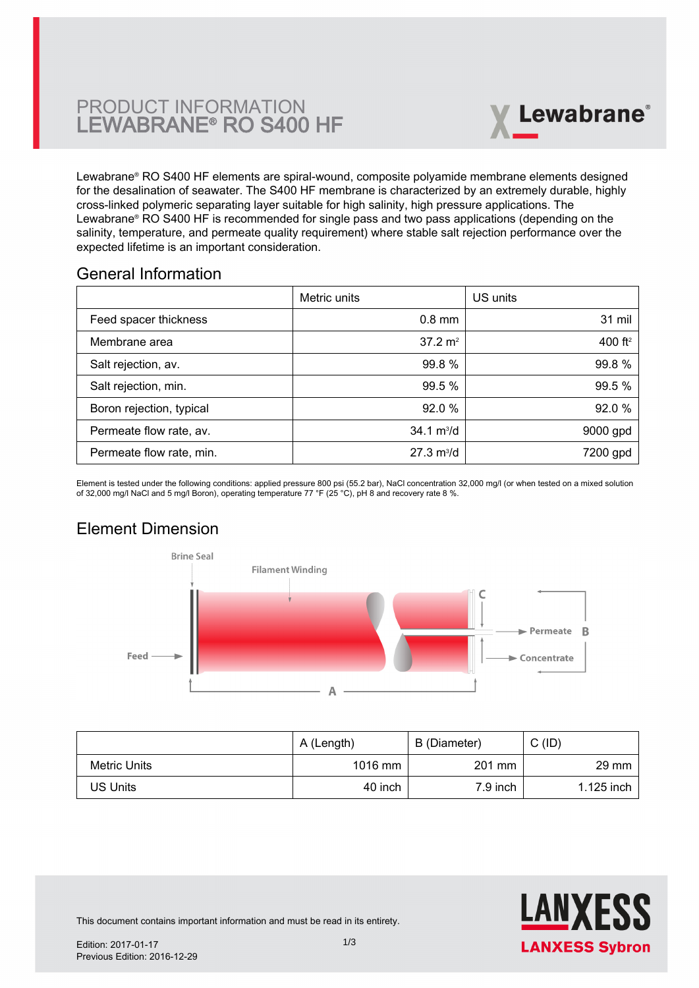# PRODUCT INFORMATION LEWABRANE® RO S400 HF



Lewabrane® RO S400 HF elements are spiral-wound, composite polyamide membrane elements designed [for the desalination of seawater. The S400 HF membrane is characterized by an extremely durable, highly](https://www.pureaqua.com/lanxess-lewabrane-s400-hf-membrane/) cross-linked polymeric separating layer suitable for high salinity, high pressure applications. The Lewabrane® RO S400 HF is recommended for single pass and two pass applications (depending on the salinity, temperature, and permeate quality requirement) where stable salt rejection performance over the expected lifetime is an important consideration.

### General Information

|                          | Metric units                | US units   |
|--------------------------|-----------------------------|------------|
| Feed spacer thickness    | $0.8$ mm                    | 31 mil     |
| Membrane area            | $37.2 \text{ m}^2$          | 400 $ft^2$ |
| Salt rejection, av.      | 99.8 %                      | 99.8%      |
| Salt rejection, min.     | 99.5 %                      | 99.5 %     |
| Boron rejection, typical | 92.0%                       | 92.0 %     |
| Permeate flow rate, av.  | $34.1 \text{ m}^3/\text{d}$ | 9000 gpd   |
| Permeate flow rate, min. | $27.3 \text{ m}^3/\text{d}$ | 7200 gpd   |

Element is tested under the following conditions: applied pressure 800 psi (55.2 bar), NaCl concentration 32,000 mg/l (or when tested on a mixed solution of 32,000 mg/l NaCl and 5 mg/l Boron), operating temperature 77 °F (25 °C), pH 8 and recovery rate 8 %.

# Element Dimension



|              | A (Length) | B (Diameter) | C (ID)          |
|--------------|------------|--------------|-----------------|
| Metric Units | $1016$ mm  | 201 mm       | $29 \text{ mm}$ |
| US Units     | 40 inch    | 7.9 inch     | 1.125 inch      |



This document contains important information and must be read in its entirety.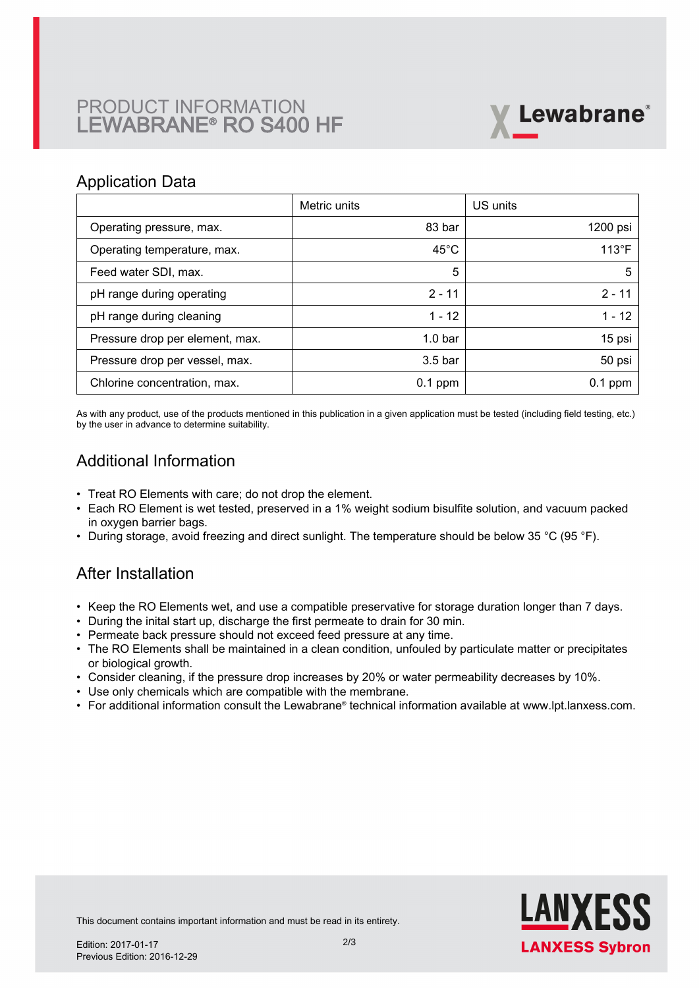# PRODUCT INFORMATION LEWABRANE® RO S400 HF



### Application Data

|                                 | Metric units       | US units       |
|---------------------------------|--------------------|----------------|
| Operating pressure, max.        | 83 bar             | 1200 psi       |
| Operating temperature, max.     | $45^{\circ}$ C     | $113^{\circ}F$ |
| Feed water SDI, max.            | 5                  | 5              |
| pH range during operating       | $2 - 11$           | $2 - 11$       |
| pH range during cleaning        | $1 - 12$           | $1 - 12$       |
| Pressure drop per element, max. | 1.0 <sub>bar</sub> | 15 psi         |
| Pressure drop per vessel, max.  | 3.5 <sub>bar</sub> | 50 psi         |
| Chlorine concentration, max.    | $0.1$ ppm          | $0.1$ ppm      |

As with any product, use of the products mentioned in this publication in a given application must be tested (including field testing, etc.) by the user in advance to determine suitability.

## Additional Information

- Treat RO Elements with care; do not drop the element.
- Each RO Element is wet tested, preserved in a 1% weight sodium bisulfite solution, and vacuum packed in oxygen barrier bags.
- During storage, avoid freezing and direct sunlight. The temperature should be below 35 °C (95 °F).

## After Installation

- Keep the RO Elements wet, and use a compatible preservative for storage duration longer than 7 days.
- During the inital start up, discharge the first permeate to drain for 30 min.
- Permeate back pressure should not exceed feed pressure at any time.
- The RO Elements shall be maintained in a clean condition, unfouled by particulate matter or precipitates or biological growth.
- Consider cleaning, if the pressure drop increases by 20% or water permeability decreases by 10%.
- Use only chemicals which are compatible with the membrane.
- For additional information consult the Lewabrane® technical information available at www.lpt.lanxess.com.



This document contains important information and must be read in its entirety.